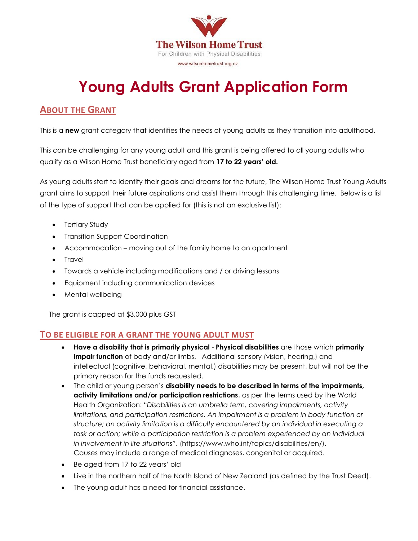

# **Young Adults Grant Application Form**

### **ABOUT THE GRANT**

This is a **new** grant category that identifies the needs of young adults as they transition into adulthood.

This can be challenging for any young adult and this grant is being offered to all young adults who qualify as a Wilson Home Trust beneficiary aged from **17 to 22 years' old.**

As young adults start to identify their goals and dreams for the future, The Wilson Home Trust Young Adults grant aims to support their future aspirations and assist them through this challenging time. Below is a list of the type of support that can be applied for (this is not an exclusive list):

- Tertiary Study
- Transition Support Coordination
- Accommodation moving out of the family home to an apartment
- Travel
- Towards a vehicle including modifications and / or driving lessons
- Equipment including communication devices
- Mental wellbeing

The grant is capped at \$3,000 plus GST

### **TO BE ELIGIBLE FOR A GRANT THE YOUNG ADULT MUST**

- **Have a disability that is primarily physical Physical disabilities** are those which **primarily impair function** of body and/or limbs. Additional sensory (vision, hearing,) and intellectual (cognitive, behavioral, mental,) disabilities may be present, but will not be the primary reason for the funds requested.
- The child or young person's **disability needs to be described in terms of the impairments, activity limitations and/or participation restrictions**, as per the terms used by the World Health Organization: "*Disabilities is an umbrella term, covering impairments, activity limitations, and participation restrictions. An impairment is a problem in body function or structure; an activity limitation is a difficulty encountered by an individual in executing a*  task or action; while a participation restriction is a problem experienced by an individual *in involvement in life situations".* (https://www.who.int/topics/disabilities/en/). Causes may include a range of medical diagnoses, congenital or acquired.
- Be aged from 17 to 22 years' old
- Live in the northern half of the North Island of New Zealand (as defined by the Trust Deed).
- The young adult has a need for financial assistance.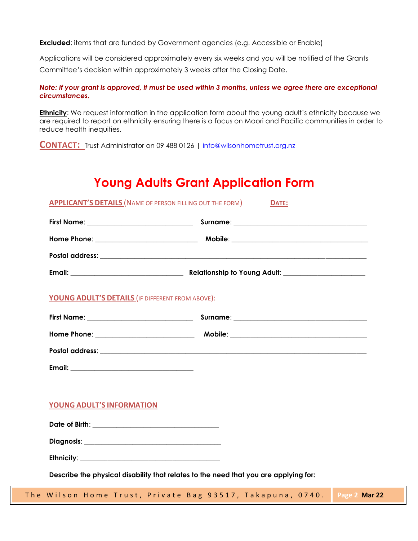**Excluded**: items that are funded by Government agencies (e.g. Accessible or Enable)

Applications will be considered approximately every six weeks and you will be notified of the Grants Committee's decision within approximately 3 weeks after the Closing Date.

*Note: If your grant is approved, it must be used within 3 months, unless we agree there are exceptional circumstances.* 

**Ethnicity**: We request information in the application form about the young adult's ethnicity because we are required to report on ethnicity ensuring there is a focus on Maori and Pacific communities in order to reduce health inequities.

**CONTACT:** Trust Administrator on 09 488 0126 <sup>|</sup> [info@wilsonhometrust.org.nz](mailto:info@wilsonhometrust.org.nz)

## **Young Adults Grant Application Form**

| <b>APPLICANT'S DETAILS (NAME OF PERSON FILLING OUT THE FORM)</b>                     | DATE: |  |  |  |
|--------------------------------------------------------------------------------------|-------|--|--|--|
|                                                                                      |       |  |  |  |
|                                                                                      |       |  |  |  |
|                                                                                      |       |  |  |  |
|                                                                                      |       |  |  |  |
| YOUNG ADULT'S DETAILS (IF DIFFERENT FROM ABOVE):                                     |       |  |  |  |
|                                                                                      |       |  |  |  |
|                                                                                      |       |  |  |  |
|                                                                                      |       |  |  |  |
|                                                                                      |       |  |  |  |
|                                                                                      |       |  |  |  |
| <b>YOUNG ADULT'S INFORMATION</b>                                                     |       |  |  |  |
|                                                                                      |       |  |  |  |
|                                                                                      |       |  |  |  |
|                                                                                      |       |  |  |  |
| Describe the physical disability that relates to the need that you are applying for: |       |  |  |  |

The Wilson Home Trust, Private Bag 93517, Takapuna, 0740. **Page 2 Mar 22**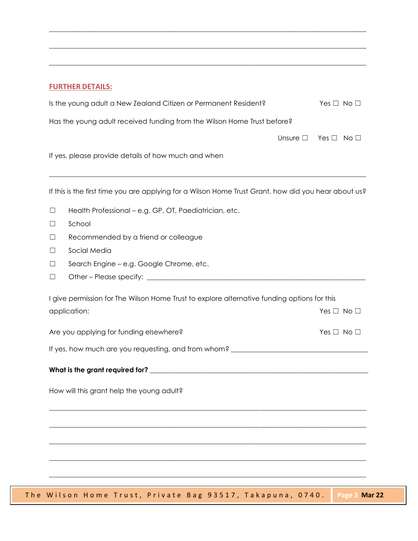### **FURTHER DETAILS:**

|                                           | Is the young adult a New Zealand Citizen or Permanent Resident?                                      |                  | Yes $\Box$ No $\Box$ |  |  |
|-------------------------------------------|------------------------------------------------------------------------------------------------------|------------------|----------------------|--|--|
|                                           | Has the young adult received funding from the Wilson Home Trust before?                              |                  |                      |  |  |
|                                           |                                                                                                      | Unsure $\square$ | $Yes \Box No \Box$   |  |  |
|                                           | If yes, please provide details of how much and when                                                  |                  |                      |  |  |
|                                           |                                                                                                      |                  |                      |  |  |
|                                           | If this is the first time you are applying for a Wilson Home Trust Grant, how did you hear about us? |                  |                      |  |  |
| $\Box$                                    | Health Professional - e.g. GP, OT, Paediatrician, etc.                                               |                  |                      |  |  |
| $\Box$                                    | School                                                                                               |                  |                      |  |  |
| $\Box$                                    | Recommended by a friend or colleague                                                                 |                  |                      |  |  |
| ⊔                                         | Social Media                                                                                         |                  |                      |  |  |
| $\Box$                                    | Search Engine - e.g. Google Chrome, etc.                                                             |                  |                      |  |  |
| $\Box$                                    |                                                                                                      |                  |                      |  |  |
|                                           | I give permission for The Wilson Home Trust to explore alternative funding options for this          |                  |                      |  |  |
|                                           | application:                                                                                         |                  | Yes $\Box$ No $\Box$ |  |  |
|                                           | Are you applying for funding elsewhere?                                                              |                  | Yes $\Box$ No $\Box$ |  |  |
|                                           |                                                                                                      |                  |                      |  |  |
|                                           |                                                                                                      |                  |                      |  |  |
| How will this grant help the young adult? |                                                                                                      |                  |                      |  |  |
|                                           |                                                                                                      |                  |                      |  |  |
|                                           |                                                                                                      |                  |                      |  |  |
|                                           |                                                                                                      |                  |                      |  |  |
|                                           |                                                                                                      |                  |                      |  |  |
|                                           |                                                                                                      |                  |                      |  |  |
|                                           |                                                                                                      |                  |                      |  |  |

 $\_$  ,  $\_$  ,  $\_$  ,  $\_$  ,  $\_$  ,  $\_$  ,  $\_$  ,  $\_$  ,  $\_$  ,  $\_$  ,  $\_$  ,  $\_$  ,  $\_$  ,  $\_$  ,  $\_$  ,  $\_$  ,  $\_$  ,  $\_$  ,  $\_$  ,  $\_$  ,  $\_$  ,  $\_$  ,  $\_$  ,  $\_$  ,  $\_$  ,  $\_$  ,  $\_$  ,  $\_$  ,  $\_$  ,  $\_$  ,  $\_$  ,  $\_$  ,  $\_$  ,  $\_$  ,  $\_$  ,  $\_$  ,  $\_$  ,

 $\_$  ,  $\_$  ,  $\_$  ,  $\_$  ,  $\_$  ,  $\_$  ,  $\_$  ,  $\_$  ,  $\_$  ,  $\_$  ,  $\_$  ,  $\_$  ,  $\_$  ,  $\_$  ,  $\_$  ,  $\_$  ,  $\_$  ,  $\_$  ,  $\_$  ,  $\_$  ,  $\_$  ,  $\_$  ,  $\_$  ,  $\_$  ,  $\_$  ,  $\_$  ,  $\_$  ,  $\_$  ,  $\_$  ,  $\_$  ,  $\_$  ,  $\_$  ,  $\_$  ,  $\_$  ,  $\_$  ,  $\_$  ,  $\_$  ,

\_\_\_\_\_\_\_\_\_\_\_\_\_\_\_\_\_\_\_\_\_\_\_\_\_\_\_\_\_\_\_\_\_\_\_\_\_\_\_\_\_\_\_\_\_\_\_\_\_\_\_\_\_\_\_\_\_\_\_\_\_\_\_\_\_\_\_\_\_\_\_\_\_\_\_\_\_\_\_\_\_\_\_\_\_\_\_\_\_\_\_\_\_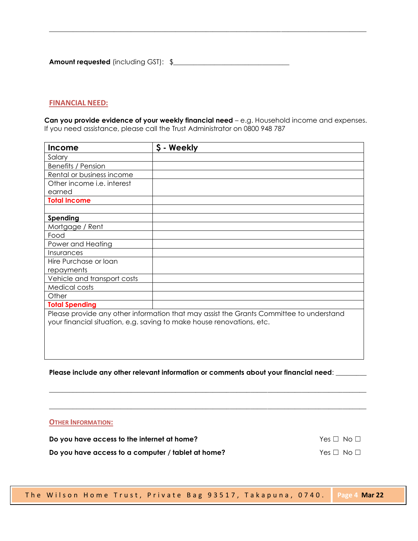**Amount requested** (including GST): \$\_\_\_\_\_\_\_\_\_\_\_\_\_\_\_\_\_\_\_\_\_\_\_\_\_\_\_\_\_\_\_\_\_\_

#### **FINANCIAL NEED:**

**Can you provide evidence of your weekly financial need** – e.g. Household income and expenses. If you need assistance, please call the Trust Administrator on 0800 948 787

**\_\_\_\_\_\_\_\_\_\_\_\_\_\_\_\_\_\_\_\_\_\_\_\_\_\_\_\_\_\_\_\_\_\_\_\_\_\_\_\_\_\_\_\_\_\_\_\_\_\_\_\_\_\_\_\_\_\_\_\_\_\_\_\_\_\_\_\_\_\_\_\_\_\_\_\_\_\_\_\_\_\_\_\_\_\_\_\_\_\_\_\_\_**

| Income                                                                                  | \$ - Weekly |  |  |  |
|-----------------------------------------------------------------------------------------|-------------|--|--|--|
| Salary                                                                                  |             |  |  |  |
| <b>Benefits / Pension</b>                                                               |             |  |  |  |
| Rental or business income                                                               |             |  |  |  |
| Other income i.e. interest                                                              |             |  |  |  |
| earned                                                                                  |             |  |  |  |
| <b>Total Income</b>                                                                     |             |  |  |  |
|                                                                                         |             |  |  |  |
| Spending                                                                                |             |  |  |  |
| Mortgage / Rent                                                                         |             |  |  |  |
| Food                                                                                    |             |  |  |  |
| Power and Heating                                                                       |             |  |  |  |
| Insurances                                                                              |             |  |  |  |
| Hire Purchase or loan                                                                   |             |  |  |  |
| repayments                                                                              |             |  |  |  |
| Vehicle and transport costs                                                             |             |  |  |  |
| <b>Medical costs</b>                                                                    |             |  |  |  |
| Other                                                                                   |             |  |  |  |
| <b>Total Spending</b>                                                                   |             |  |  |  |
| Please provide any other information that may assist the Grants Committee to understand |             |  |  |  |
| your financial situation, e.g. saving to make house renovations, etc.                   |             |  |  |  |
|                                                                                         |             |  |  |  |
|                                                                                         |             |  |  |  |
|                                                                                         |             |  |  |  |
|                                                                                         |             |  |  |  |

**Please include any other relevant information or comments about your financial need**: \_\_\_\_\_\_\_\_\_

\_\_\_\_\_\_\_\_\_\_\_\_\_\_\_\_\_\_\_\_\_\_\_\_\_\_\_\_\_\_\_\_\_\_\_\_\_\_\_\_\_\_\_\_\_\_\_\_\_\_\_\_\_\_\_\_\_\_\_\_\_\_\_\_\_\_\_\_\_\_\_\_\_\_\_\_\_\_\_\_\_\_\_\_\_\_\_\_\_\_\_\_\_

\_\_\_\_\_\_\_\_\_\_\_\_\_\_\_\_\_\_\_\_\_\_\_\_\_\_\_\_\_\_\_\_\_\_\_\_\_\_\_\_\_\_\_\_\_\_\_\_\_\_\_\_\_\_\_\_\_\_\_\_\_\_\_\_\_\_\_\_\_\_\_\_\_\_\_\_\_\_\_\_\_\_\_\_\_\_\_\_\_\_\_\_\_

#### **OTHER INFORMATION:**

| Do you have access to the internet at home?        | Yes $\Box$ No $\Box$ |
|----------------------------------------------------|----------------------|
| Do you have access to a computer / tablet at home? | Yes $\Box$ No $\Box$ |